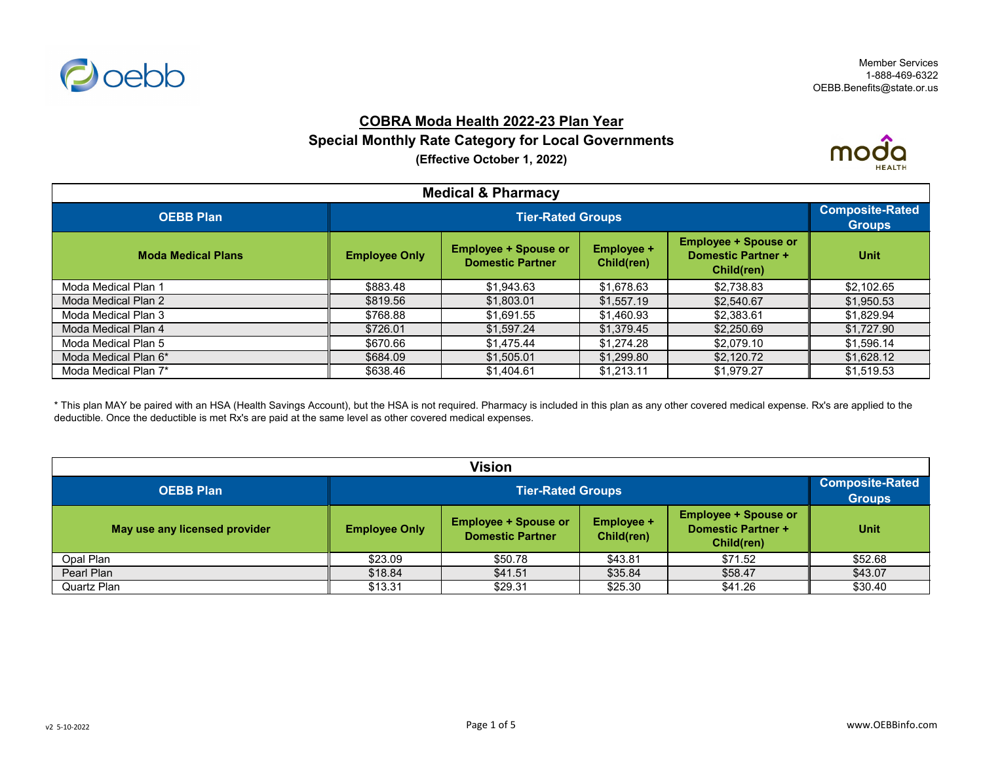

# **COBRA Moda Health 2022-23 Plan Year Special Monthly Rate Category for Local Governments (Effective October 1, 2022)**



| <b>Medical &amp; Pharmacy</b> |                      |                                         |            |            |            |  |
|-------------------------------|----------------------|-----------------------------------------|------------|------------|------------|--|
| <b>OEBB Plan</b>              |                      | <b>Composite-Rated</b><br><b>Groups</b> |            |            |            |  |
| <b>Moda Medical Plans</b>     | <b>Employee Only</b> | <b>Unit</b>                             |            |            |            |  |
| Moda Medical Plan 1           | \$883.48             | \$1,943.63                              | \$1,678.63 | \$2,738.83 | \$2,102.65 |  |
| Moda Medical Plan 2           | \$819.56             | \$1,803.01                              | \$1,557.19 | \$2,540.67 | \$1,950.53 |  |
| Moda Medical Plan 3           | \$768.88             | \$1,691.55                              | \$1,460.93 | \$2,383.61 | \$1,829.94 |  |
| Moda Medical Plan 4           | \$726.01             | \$1,597.24                              | \$1,379.45 | \$2,250.69 | \$1,727.90 |  |
| Moda Medical Plan 5           | \$670.66             | \$1,475.44                              | \$1,274.28 | \$2,079.10 | \$1,596.14 |  |
| Moda Medical Plan 6*          | \$684.09             | \$1,505.01                              | \$1,299.80 | \$2,120.72 | \$1,628.12 |  |
| Moda Medical Plan 7*          | \$638.46             | \$1,404.61                              | \$1,213.11 | \$1,979.27 | \$1,519.53 |  |

\* This plan MAY be paired with an HSA (Health Savings Account), but the HSA is not required. Pharmacy is included in this plan as any other covered medical expense. Rx's are applied to the deductible. Once the deductible is met Rx's are paid at the same level as other covered medical expenses.

| <b>Vision</b>                 |                      |                                                                                                                                                                     |         |         |         |  |
|-------------------------------|----------------------|---------------------------------------------------------------------------------------------------------------------------------------------------------------------|---------|---------|---------|--|
| <b>OEBB Plan</b>              |                      | <b>Tier-Rated Groups</b>                                                                                                                                            |         |         |         |  |
| May use any licensed provider | <b>Employee Only</b> | <b>Employee + Spouse or</b><br><b>Employee + Spouse or</b><br><b>Employee +</b><br><b>Domestic Partner +</b><br><b>Domestic Partner</b><br>Child(ren)<br>Child(ren) |         |         |         |  |
| Opal Plan                     | \$23.09              | \$50.78                                                                                                                                                             | \$43.81 | \$71.52 | \$52.68 |  |
| Pearl Plan                    | \$18.84              | \$41.51                                                                                                                                                             | \$35.84 | \$58.47 | \$43.07 |  |
| <b>Quartz Plan</b>            | \$13.31              | \$29.31                                                                                                                                                             | \$25.30 | \$41.26 | \$30.40 |  |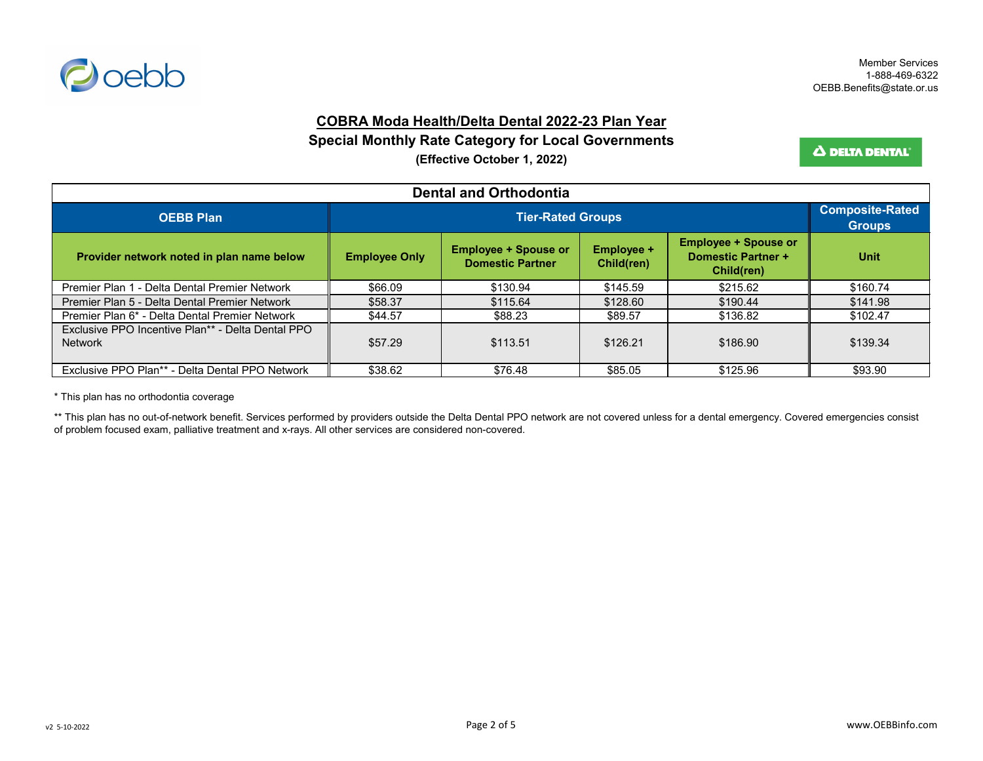

### **COBRA Moda Health/Delta Dental 2022-23 Plan Year**

**Special Monthly Rate Category for Local Governments**

**(Effective October 1, 2022)**

Δ DELTA DENTAL'

| <b>Dental and Orthodontia</b>                                       |                      |                                                        |                                 |                                                                        |             |  |
|---------------------------------------------------------------------|----------------------|--------------------------------------------------------|---------------------------------|------------------------------------------------------------------------|-------------|--|
| <b>OEBB Plan</b>                                                    |                      | <b>Composite-Rated</b><br><b>Groups</b>                |                                 |                                                                        |             |  |
| Provider network noted in plan name below                           | <b>Employee Only</b> | <b>Employee + Spouse or</b><br><b>Domestic Partner</b> | <b>Employee +</b><br>Child(ren) | <b>Employee + Spouse or</b><br><b>Domestic Partner +</b><br>Child(ren) | <b>Unit</b> |  |
| Premier Plan 1 - Delta Dental Premier Network                       | \$66.09              | \$130.94                                               | \$145.59                        | \$215.62                                                               | \$160.74    |  |
| Premier Plan 5 - Delta Dental Premier Network                       | \$58.37              | \$115.64                                               | \$128.60                        | \$190.44                                                               | \$141.98    |  |
| Premier Plan 6* - Delta Dental Premier Network                      | \$44.57              | \$88.23                                                | \$89.57                         | \$136.82                                                               | \$102.47    |  |
| Exclusive PPO Incentive Plan** - Delta Dental PPO<br><b>Network</b> | \$57.29              | \$113.51                                               | \$126.21                        | \$186.90                                                               | \$139.34    |  |
| Exclusive PPO Plan** - Delta Dental PPO Network                     | \$38.62              | \$76.48                                                | \$85.05                         | \$125.96                                                               | \$93.90     |  |

\* This plan has no orthodontia coverage

\*\* This plan has no out-of-network benefit. Services performed by providers outside the Delta Dental PPO network are not covered unless for a dental emergency. Covered emergencies consist of problem focused exam, palliative treatment and x-rays. All other services are considered non-covered.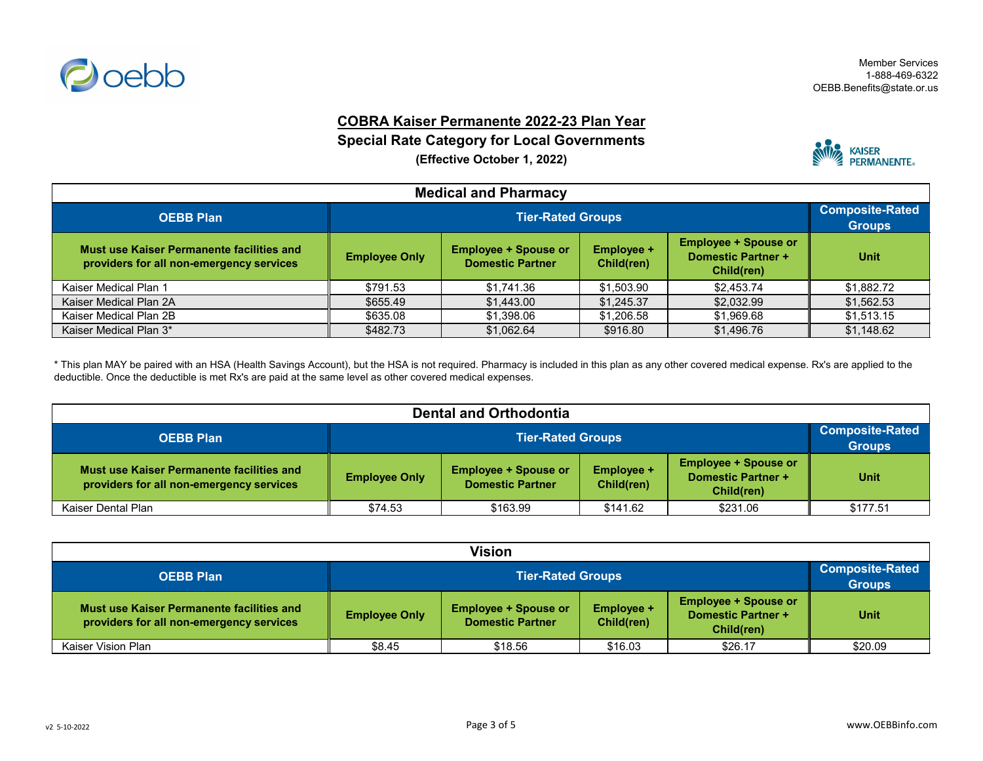

### **COBRA Kaiser Permanente 2022-23 Plan Year**

### **Special Rate Category for Local Governments**

**(Effective October 1, 2022)**



| <b>Medical and Pharmacy</b>                                                           |                          |             |            |            |                                         |  |
|---------------------------------------------------------------------------------------|--------------------------|-------------|------------|------------|-----------------------------------------|--|
| <b>OEBB Plan</b>                                                                      | <b>Tier-Rated Groups</b> |             |            |            | <b>Composite-Rated</b><br><b>Groups</b> |  |
| Must use Kaiser Permanente facilities and<br>providers for all non-emergency services | <b>Employee Only</b>     | <b>Unit</b> |            |            |                                         |  |
| Kaiser Medical Plan 1                                                                 | \$791.53                 | \$1,741.36  | \$1,503.90 | \$2,453.74 | \$1,882.72                              |  |
| Kaiser Medical Plan 2A                                                                | \$655.49                 | \$1,443.00  | \$1,245.37 | \$2,032.99 | \$1,562.53                              |  |
| Kaiser Medical Plan 2B                                                                | \$635.08                 | \$1,398.06  | \$1,206.58 | \$1,969.68 | \$1,513.15                              |  |
| Kaiser Medical Plan 3*                                                                | \$482.73                 | \$1,062.64  | \$916.80   | \$1,496.76 | \$1,148.62                              |  |

\* This plan MAY be paired with an HSA (Health Savings Account), but the HSA is not required. Pharmacy is included in this plan as any other covered medical expense. Rx's are applied to the deductible. Once the deductible is met Rx's are paid at the same level as other covered medical expenses.

| <b>Dental and Orthodontia</b>                                                         |                      |                                                                                                                                                                     |          |          |          |  |
|---------------------------------------------------------------------------------------|----------------------|---------------------------------------------------------------------------------------------------------------------------------------------------------------------|----------|----------|----------|--|
| <b>OEBB Plan</b>                                                                      |                      | <b>Tier-Rated Groups</b>                                                                                                                                            |          |          |          |  |
| Must use Kaiser Permanente facilities and<br>providers for all non-emergency services | <b>Employee Only</b> | <b>Employee + Spouse or</b><br><b>Employee +</b><br><b>Employee + Spouse or</b><br><b>Domestic Partner +</b><br><b>Domestic Partner</b><br>Child(ren)<br>Child(ren) |          |          |          |  |
| Kaiser Dental Plan                                                                    | \$74.53              | \$163.99                                                                                                                                                            | \$141.62 | \$231.06 | \$177.51 |  |

| Vision                                                                                |                      |                                                                                                                                                                     |         |         |         |  |
|---------------------------------------------------------------------------------------|----------------------|---------------------------------------------------------------------------------------------------------------------------------------------------------------------|---------|---------|---------|--|
| <b>OEBB Plan</b>                                                                      |                      | <b>Tier-Rated Groups</b>                                                                                                                                            |         |         |         |  |
| Must use Kaiser Permanente facilities and<br>providers for all non-emergency services | <b>Employee Only</b> | <b>Employee + Spouse or</b><br><b>Employee +</b><br><b>Employee + Spouse or</b><br><b>Domestic Partner +</b><br><b>Domestic Partner</b><br>Child(ren)<br>Child(ren) |         |         |         |  |
| Kaiser Vision Plan                                                                    | \$8.45               | \$18.56                                                                                                                                                             | \$16.03 | \$26.17 | \$20.09 |  |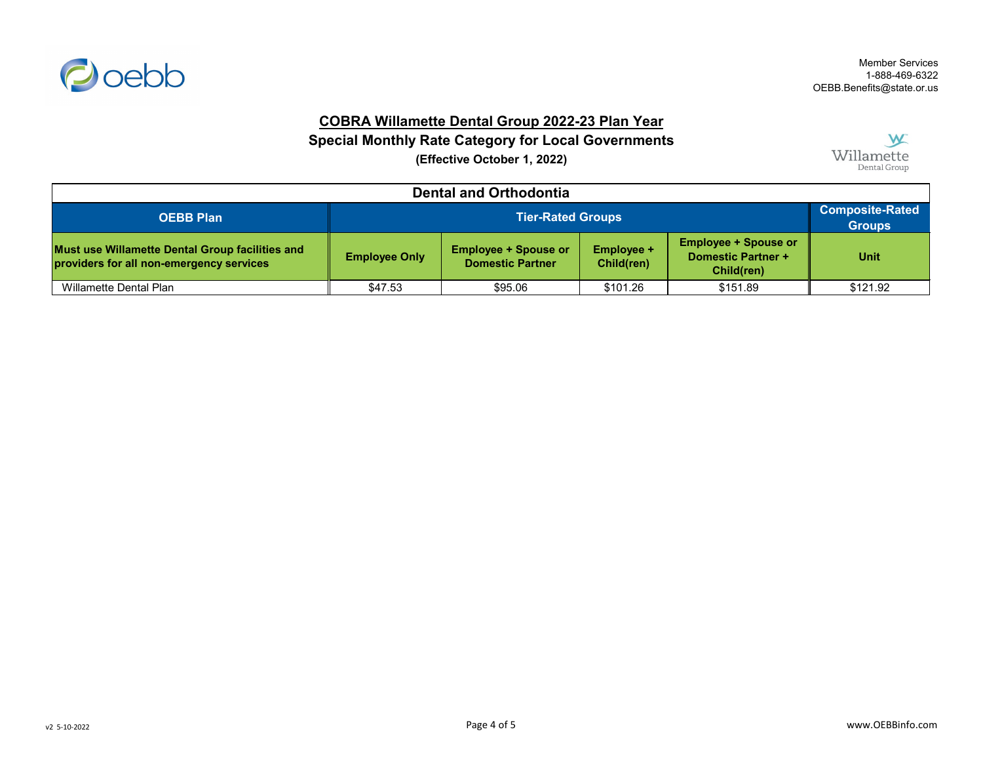

## **COBRA Willamette Dental Group 2022-23 Plan Year**

**Special Monthly Rate Category for Local Governments**

**(Effective October 1, 2022)**



| <b>Dental and Orthodontia</b>                                                               |                      |                                                                                                                                                              |          |          |          |  |
|---------------------------------------------------------------------------------------------|----------------------|--------------------------------------------------------------------------------------------------------------------------------------------------------------|----------|----------|----------|--|
| <b>OEBB Plan</b>                                                                            |                      | <b>Tier-Rated Groups</b>                                                                                                                                     |          |          |          |  |
| Must use Willamette Dental Group facilities and<br>providers for all non-emergency services | <b>Employee Only</b> | <b>Employee + Spouse or</b><br><b>Employee + Spouse or</b><br><b>Employee +</b><br>Domestic Partner +<br><b>Domestic Partner</b><br>Child(ren)<br>Child(ren) |          |          |          |  |
| Willamette Dental Plan                                                                      | \$47.53              | \$95.06                                                                                                                                                      | \$101.26 | \$151.89 | \$121.92 |  |